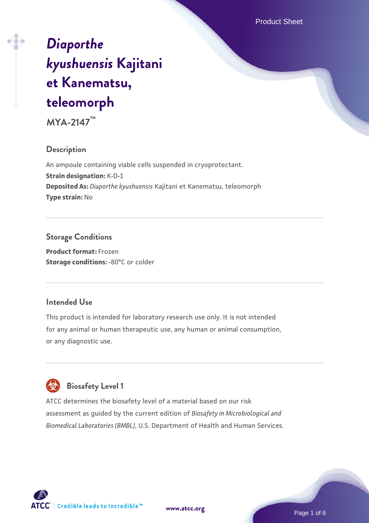Product Sheet

# *[Diaporthe](https://www.atcc.org/products/mya-2147) [kyushuensis](https://www.atcc.org/products/mya-2147)* **[Kajitani](https://www.atcc.org/products/mya-2147) [et Kanematsu,](https://www.atcc.org/products/mya-2147) [teleomorph](https://www.atcc.org/products/mya-2147)**

**MYA-2147™**

#### **Description**

An ampoule containing viable cells suspended in cryoprotectant. **Strain designation:** K-D-1 **Deposited As:** *Diaporthe kyushuensis* Kajitani et Kanematsu, teleomorph **Type strain:** No

## **Storage Conditions**

**Product format:** Frozen **Storage conditions: -80°C** or colder

#### **Intended Use**

This product is intended for laboratory research use only. It is not intended for any animal or human therapeutic use, any human or animal consumption, or any diagnostic use.

# **Biosafety Level 1**

ATCC determines the biosafety level of a material based on our risk assessment as guided by the current edition of *Biosafety in Microbiological and Biomedical Laboratories (BMBL)*, U.S. Department of Health and Human Services.

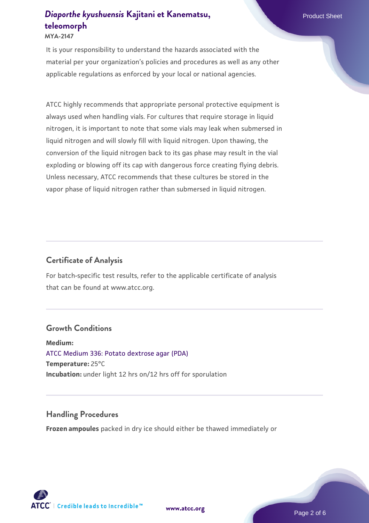#### **MYA-2147**

It is your responsibility to understand the hazards associated with the material per your organization's policies and procedures as well as any other applicable regulations as enforced by your local or national agencies.

ATCC highly recommends that appropriate personal protective equipment is always used when handling vials. For cultures that require storage in liquid nitrogen, it is important to note that some vials may leak when submersed in liquid nitrogen and will slowly fill with liquid nitrogen. Upon thawing, the conversion of the liquid nitrogen back to its gas phase may result in the vial exploding or blowing off its cap with dangerous force creating flying debris. Unless necessary, ATCC recommends that these cultures be stored in the vapor phase of liquid nitrogen rather than submersed in liquid nitrogen.

#### **Certificate of Analysis**

For batch-specific test results, refer to the applicable certificate of analysis that can be found at www.atcc.org.

#### **Growth Conditions**

**Medium:**  [ATCC Medium 336: Potato dextrose agar \(PDA\)](https://www.atcc.org/-/media/product-assets/documents/microbial-media-formulations/3/3/6/atcc-medium-336.pdf?rev=d9160ad44d934cd8b65175461abbf3b9) **Temperature:** 25°C **Incubation:** under light 12 hrs on/12 hrs off for sporulation

#### **Handling Procedures**

**Frozen ampoules** packed in dry ice should either be thawed immediately or

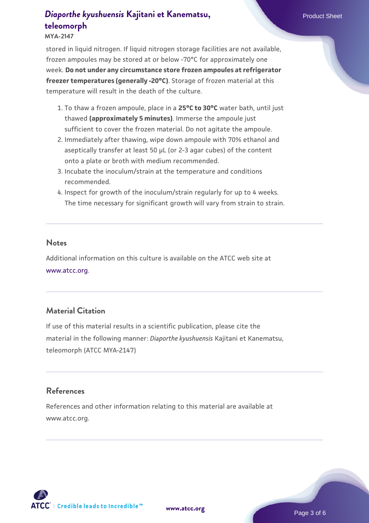#### **MYA-2147**

stored in liquid nitrogen. If liquid nitrogen storage facilities are not available, frozen ampoules may be stored at or below -70°C for approximately one week. **Do not under any circumstance store frozen ampoules at refrigerator freezer temperatures (generally -20°C)**. Storage of frozen material at this temperature will result in the death of the culture.

- 1. To thaw a frozen ampoule, place in a **25°C to 30°C** water bath, until just thawed **(approximately 5 minutes)**. Immerse the ampoule just sufficient to cover the frozen material. Do not agitate the ampoule.
- 2. Immediately after thawing, wipe down ampoule with 70% ethanol and aseptically transfer at least 50 µL (or 2-3 agar cubes) of the content onto a plate or broth with medium recommended.
- 3. Incubate the inoculum/strain at the temperature and conditions recommended.
- 4. Inspect for growth of the inoculum/strain regularly for up to 4 weeks. The time necessary for significant growth will vary from strain to strain.

#### **Notes**

Additional information on this culture is available on the ATCC web site at [www.atcc.org.](http://www.atcc.org/)

#### **Material Citation**

If use of this material results in a scientific publication, please cite the material in the following manner: *Diaporthe kyushuensis* Kajitani et Kanematsu, teleomorph (ATCC MYA-2147)

#### **References**

References and other information relating to this material are available at www.atcc.org.

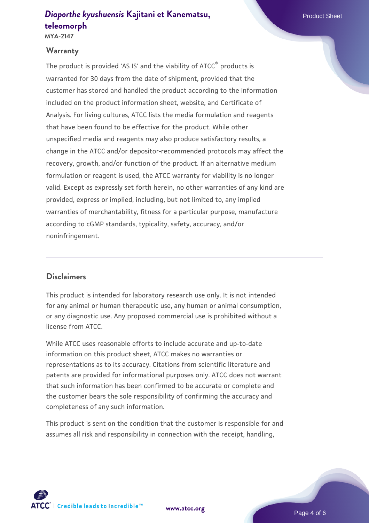**MYA-2147**

#### **Warranty**

The product is provided 'AS IS' and the viability of ATCC<sup>®</sup> products is warranted for 30 days from the date of shipment, provided that the customer has stored and handled the product according to the information included on the product information sheet, website, and Certificate of Analysis. For living cultures, ATCC lists the media formulation and reagents that have been found to be effective for the product. While other unspecified media and reagents may also produce satisfactory results, a change in the ATCC and/or depositor-recommended protocols may affect the recovery, growth, and/or function of the product. If an alternative medium formulation or reagent is used, the ATCC warranty for viability is no longer valid. Except as expressly set forth herein, no other warranties of any kind are provided, express or implied, including, but not limited to, any implied warranties of merchantability, fitness for a particular purpose, manufacture according to cGMP standards, typicality, safety, accuracy, and/or noninfringement.

#### **Disclaimers**

This product is intended for laboratory research use only. It is not intended for any animal or human therapeutic use, any human or animal consumption, or any diagnostic use. Any proposed commercial use is prohibited without a license from ATCC.

While ATCC uses reasonable efforts to include accurate and up-to-date information on this product sheet, ATCC makes no warranties or representations as to its accuracy. Citations from scientific literature and patents are provided for informational purposes only. ATCC does not warrant that such information has been confirmed to be accurate or complete and the customer bears the sole responsibility of confirming the accuracy and completeness of any such information.

This product is sent on the condition that the customer is responsible for and assumes all risk and responsibility in connection with the receipt, handling,

**[www.atcc.org](http://www.atcc.org)**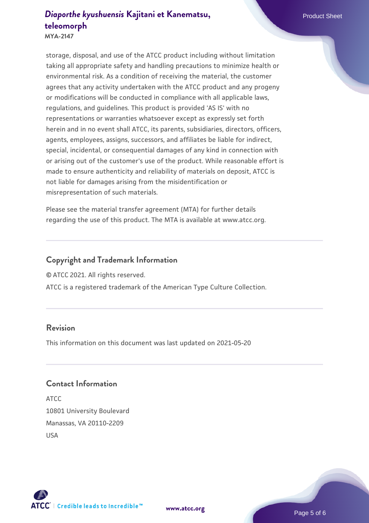**MYA-2147**

storage, disposal, and use of the ATCC product including without limitation taking all appropriate safety and handling precautions to minimize health or environmental risk. As a condition of receiving the material, the customer agrees that any activity undertaken with the ATCC product and any progeny or modifications will be conducted in compliance with all applicable laws, regulations, and guidelines. This product is provided 'AS IS' with no representations or warranties whatsoever except as expressly set forth herein and in no event shall ATCC, its parents, subsidiaries, directors, officers, agents, employees, assigns, successors, and affiliates be liable for indirect, special, incidental, or consequential damages of any kind in connection with or arising out of the customer's use of the product. While reasonable effort is made to ensure authenticity and reliability of materials on deposit, ATCC is not liable for damages arising from the misidentification or misrepresentation of such materials.

Please see the material transfer agreement (MTA) for further details regarding the use of this product. The MTA is available at www.atcc.org.

### **Copyright and Trademark Information**

© ATCC 2021. All rights reserved.

ATCC is a registered trademark of the American Type Culture Collection.

#### **Revision**

This information on this document was last updated on 2021-05-20

#### **Contact Information**

ATCC 10801 University Boulevard Manassas, VA 20110-2209 USA